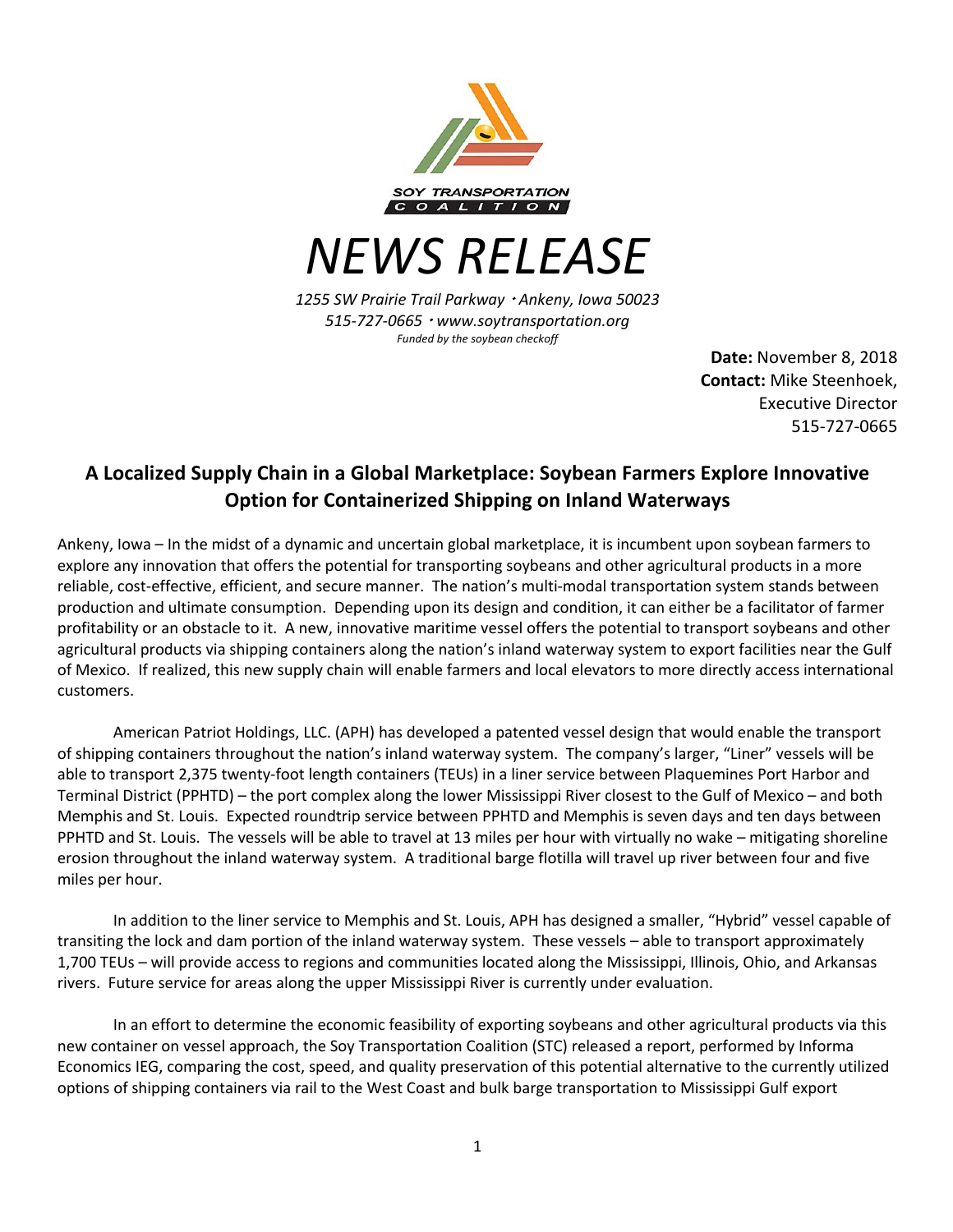

*NEWS RELEASE*

*1255 SW Prairie Trail Parkway* <sup>¬</sup> *Ankeny, Iowa 50023 515-727-0665* <sup>¬</sup> *www.soytransportation.org Funded by the soybean checkoff*

> **Date:** November 8, 2018 **Contact:** Mike Steenhoek, Executive Director 515-727-0665

## **A Localized Supply Chain in a Global Marketplace: Soybean Farmers Explore Innovative Option for Containerized Shipping on Inland Waterways**

Ankeny, Iowa – In the midst of a dynamic and uncertain global marketplace, it is incumbent upon soybean farmers to explore any innovation that offers the potential for transporting soybeans and other agricultural products in a more reliable, cost-effective, efficient, and secure manner. The nation's multi-modal transportation system stands between production and ultimate consumption. Depending upon its design and condition, it can either be a facilitator of farmer profitability or an obstacle to it. A new, innovative maritime vessel offers the potential to transport soybeans and other agricultural products via shipping containers along the nation's inland waterway system to export facilities near the Gulf of Mexico. If realized, this new supply chain will enable farmers and local elevators to more directly access international customers.

American Patriot Holdings, LLC. (APH) has developed a patented vessel design that would enable the transport of shipping containers throughout the nation's inland waterway system. The company's larger, "Liner" vessels will be able to transport 2,375 twenty-foot length containers (TEUs) in a liner service between Plaquemines Port Harbor and Terminal District (PPHTD) – the port complex along the lower Mississippi River closest to the Gulf of Mexico – and both Memphis and St. Louis. Expected roundtrip service between PPHTD and Memphis is seven days and ten days between PPHTD and St. Louis. The vessels will be able to travel at 13 miles per hour with virtually no wake – mitigating shoreline erosion throughout the inland waterway system. A traditional barge flotilla will travel up river between four and five miles per hour.

In addition to the liner service to Memphis and St. Louis, APH has designed a smaller, "Hybrid" vessel capable of transiting the lock and dam portion of the inland waterway system. These vessels – able to transport approximately 1,700 TEUs – will provide access to regions and communities located along the Mississippi, Illinois, Ohio, and Arkansas rivers. Future service for areas along the upper Mississippi River is currently under evaluation.

In an effort to determine the economic feasibility of exporting soybeans and other agricultural products via this new container on vessel approach, the Soy Transportation Coalition (STC) released a report, performed by Informa Economics IEG, comparing the cost, speed, and quality preservation of this potential alternative to the currently utilized options of shipping containers via rail to the West Coast and bulk barge transportation to Mississippi Gulf export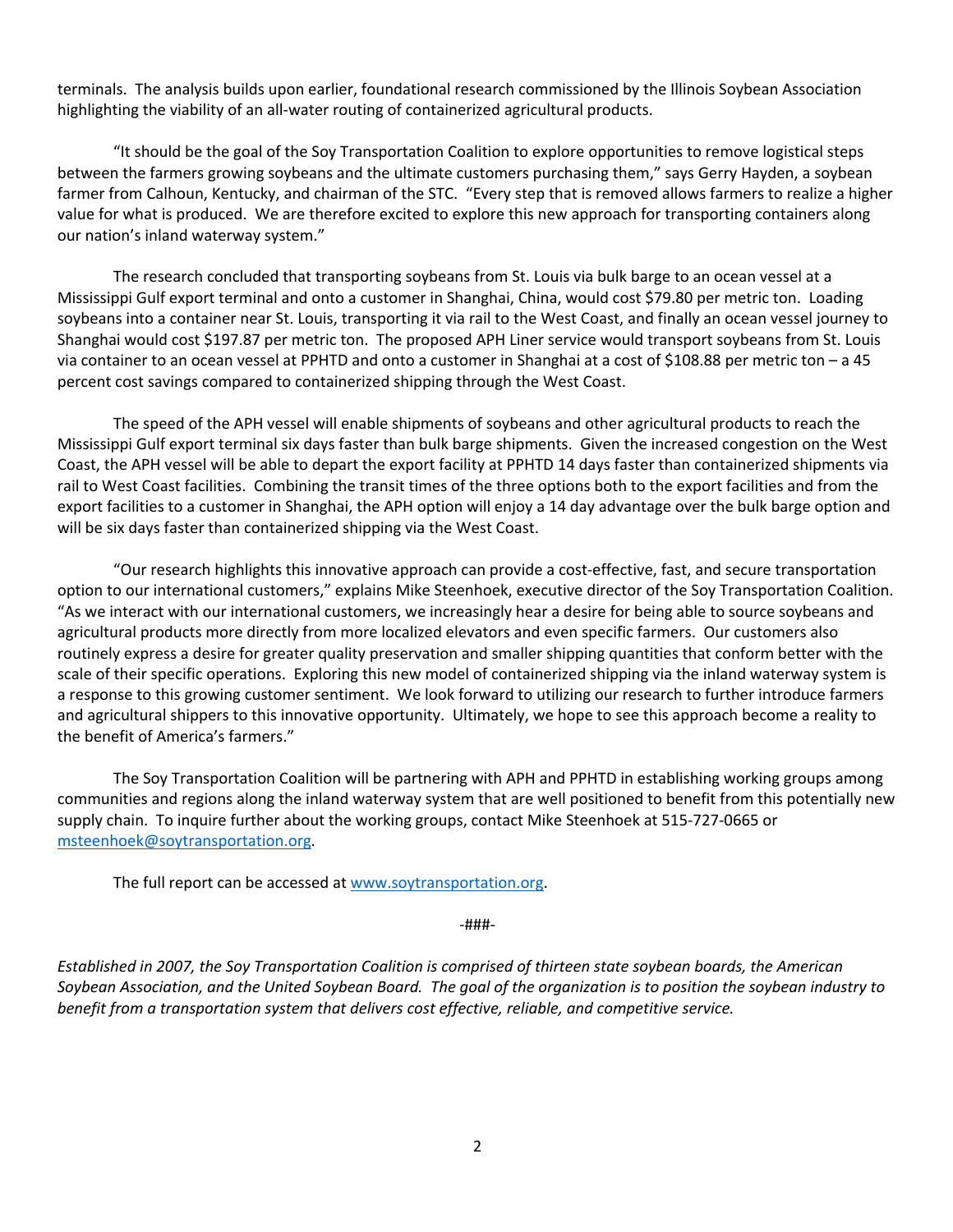terminals. The analysis builds upon earlier, foundational research commissioned by the Illinois Soybean Association highlighting the viability of an all-water routing of containerized agricultural products.

"It should be the goal of the Soy Transportation Coalition to explore opportunities to remove logistical steps between the farmers growing soybeans and the ultimate customers purchasing them," says Gerry Hayden, a soybean farmer from Calhoun, Kentucky, and chairman of the STC. "Every step that is removed allows farmers to realize a higher value for what is produced. We are therefore excited to explore this new approach for transporting containers along our nation's inland waterway system."

The research concluded that transporting soybeans from St. Louis via bulk barge to an ocean vessel at a Mississippi Gulf export terminal and onto a customer in Shanghai, China, would cost \$79.80 per metric ton. Loading soybeans into a container near St. Louis, transporting it via rail to the West Coast, and finally an ocean vessel journey to Shanghai would cost \$197.87 per metric ton. The proposed APH Liner service would transport soybeans from St. Louis via container to an ocean vessel at PPHTD and onto a customer in Shanghai at a cost of \$108.88 per metric ton – a 45 percent cost savings compared to containerized shipping through the West Coast.

The speed of the APH vessel will enable shipments of soybeans and other agricultural products to reach the Mississippi Gulf export terminal six days faster than bulk barge shipments. Given the increased congestion on the West Coast, the APH vessel will be able to depart the export facility at PPHTD 14 days faster than containerized shipments via rail to West Coast facilities. Combining the transit times of the three options both to the export facilities and from the export facilities to a customer in Shanghai, the APH option will enjoy a 14 day advantage over the bulk barge option and will be six days faster than containerized shipping via the West Coast.

"Our research highlights this innovative approach can provide a cost-effective, fast, and secure transportation option to our international customers," explains Mike Steenhoek, executive director of the Soy Transportation Coalition. "As we interact with our international customers, we increasingly hear a desire for being able to source soybeans and agricultural products more directly from more localized elevators and even specific farmers. Our customers also routinely express a desire for greater quality preservation and smaller shipping quantities that conform better with the scale of their specific operations. Exploring this new model of containerized shipping via the inland waterway system is a response to this growing customer sentiment. We look forward to utilizing our research to further introduce farmers and agricultural shippers to this innovative opportunity. Ultimately, we hope to see this approach become a reality to the benefit of America's farmers."

The Soy Transportation Coalition will be partnering with APH and PPHTD in establishing working groups among communities and regions along the inland waterway system that are well positioned to benefit from this potentially new supply chain. To inquire further about the working groups, contact Mike Steenhoek at 515-727-0665 or msteenhoek@soytransportation.org.

The full report can be accessed at www.soytransportation.org.

-###-

*Established in 2007, the Soy Transportation Coalition is comprised of thirteen state soybean boards, the American Soybean Association, and the United Soybean Board. The goal of the organization is to position the soybean industry to benefit from a transportation system that delivers cost effective, reliable, and competitive service.*